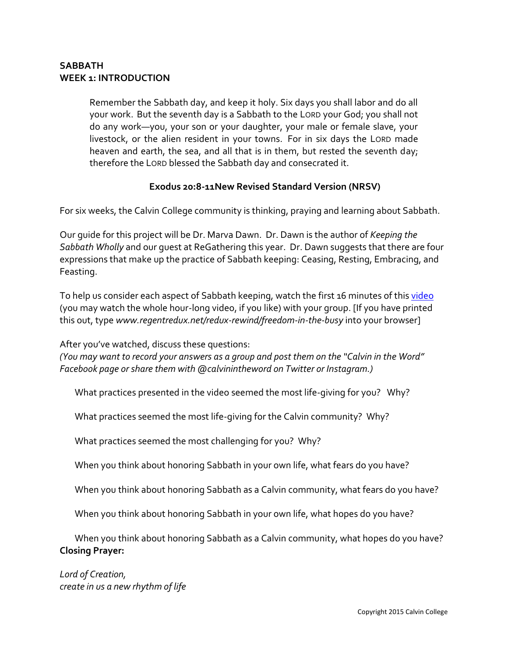## **SABBATH WEEK 1: INTRODUCTION**

Remember the Sabbath day, and keep it holy. Six days you shall labor and do all your work. But the seventh day is a Sabbath to the LORD your God; you shall not do any work—you, your son or your daughter, your male or female slave, your livestock, or the alien resident in your towns. For in six days the LORD made heaven and earth, the sea, and all that is in them, but rested the seventh day; therefore the LORD blessed the Sabbath day and consecrated it.

## **Exodus 20:8-11New Revised Standard Version (NRSV)**

For six weeks, the Calvin College community is thinking, praying and learning about Sabbath.

Our guide for this project will be Dr. Marva Dawn. Dr. Dawn is the author of *Keeping the Sabbath Wholly* and our guest at ReGathering this year. Dr. Dawn suggests that there are four expressions that make up the practice of Sabbath keeping: Ceasing, Resting, Embracing, and Feasting.

To help us consider each aspect of Sabbath keeping, watch the first 16 minutes of thi[s video](https://www.youtube.com/watch?v=nD-E0Svh3hc&list=PL04Zl7nYDurrMsoP2L7wiL099CibeSBIb&index=1) (you may watch the whole hour-long video, if you like) with your group. [If you have printed this out, type *www.regentredux.net/redux-rewind/freedom-in-the-busy* into your browser]

After you've watched, discuss these questions:

*(You may want to record your answers as a group and post them on the "Calvin in the Word" Facebook page or share them with @calvinintheword on Twitter or Instagram.)*

What practices presented in the video seemed the most life-giving for you? Why?

What practices seemed the most life-giving for the Calvin community? Why?

What practices seemed the most challenging for you? Why?

When you think about honoring Sabbath in your own life, what fears do you have?

When you think about honoring Sabbath as a Calvin community, what fears do you have?

When you think about honoring Sabbath in your own life, what hopes do you have?

When you think about honoring Sabbath as a Calvin community, what hopes do you have? **Closing Prayer:** 

*Lord of Creation, create in us a new rhythm of life*